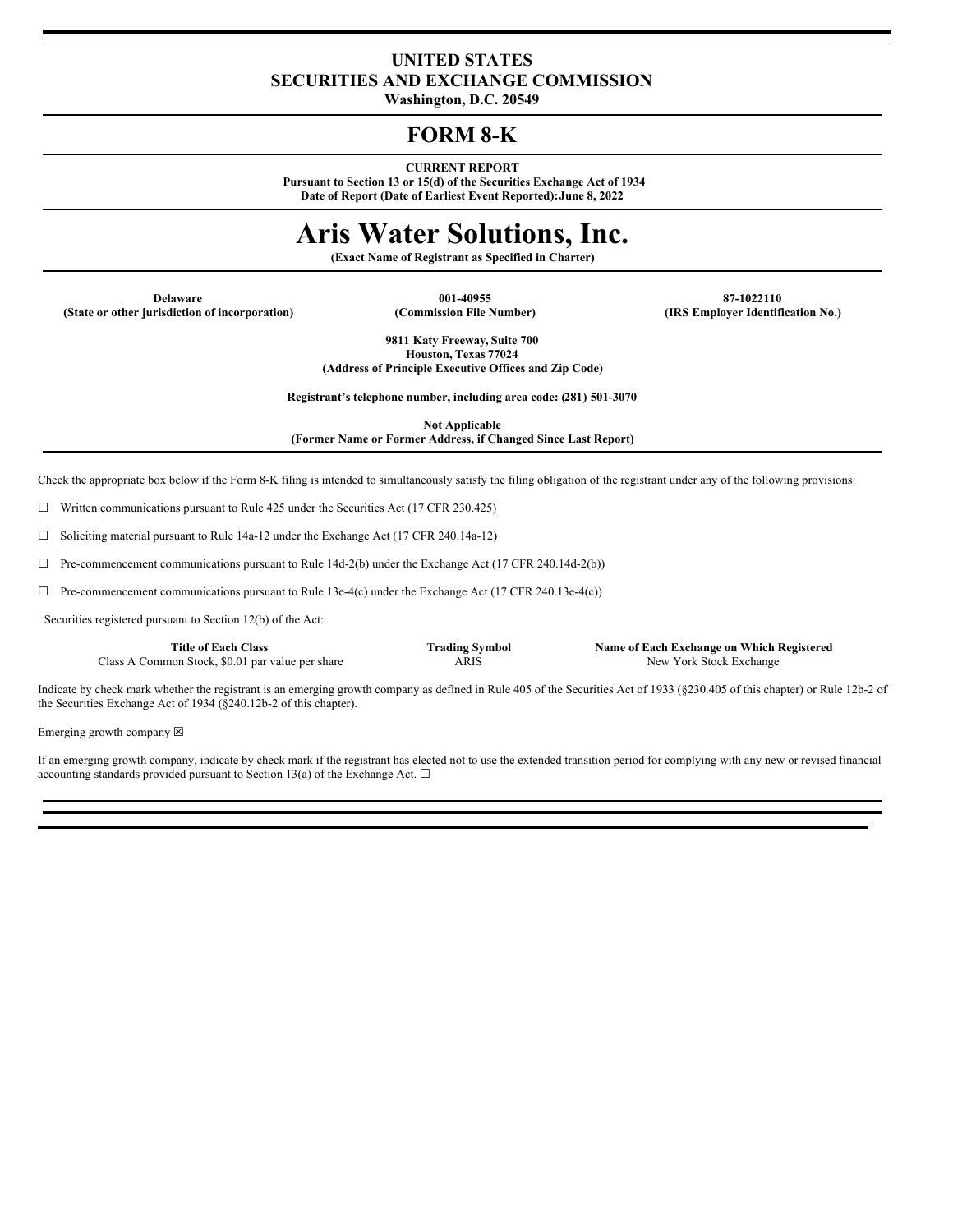# **UNITED STATES SECURITIES AND EXCHANGE COMMISSION**

**Washington, D.C. 20549**

# **FORM 8-K**

**CURRENT REPORT**

**Pursuant to Section 13 or 15(d) of the Securities Exchange Act of 1934 Date of Report (Date of Earliest Event Reported):June 8, 2022**

# **Aris Water Solutions, Inc.**

**(Exact Name of Registrant as Specified in Charter)**

**Delaware 001-40955 87-1022110 (State or other jurisdiction of incorporation) (Commission File Number) (IRS Employer Identification No.)**

**9811 Katy Freeway, Suite 700 Houston, Texas 77024 (Address of Principle Executive Offices and Zip Code)**

**Registrant's telephone number, including area code: (281) 501-3070**

**Not Applicable**

**(Former Name or Former Address, if Changed Since Last Report)**

Check the appropriate box below if the Form 8-K filing is intended to simultaneously satisfy the filing obligation of the registrant under any of the following provisions:

 $\Box$  Written communications pursuant to Rule 425 under the Securities Act (17 CFR 230.425)

☐ Soliciting material pursuant to Rule 14a-12 under the Exchange Act (17 CFR 240.14a-12)

☐ Pre-commencement communications pursuant to Rule 14d-2(b) under the Exchange Act (17 CFR 240.14d-2(b))

 $\Box$  Pre-commencement communications pursuant to Rule 13e-4(c) under the Exchange Act (17 CFR 240.13e-4(c))

Securities registered pursuant to Section 12(b) of the Act:

Class A Common Stock, \$0.01 par value per share ARIS New York Stock Exchange

**Title of Each Class Trading Symbol Name of Each Exchange on Which Registered**

Indicate by check mark whether the registrant is an emerging growth company as defined in Rule 405 of the Securities Act of 1933 (§230.405 of this chapter) or Rule 12b-2 of the Securities Exchange Act of 1934 (§240.12b-2 of this chapter).

Emerging growth company  $\boxtimes$ 

If an emerging growth company, indicate by check mark if the registrant has elected not to use the extended transition period for complying with any new or revised financial accounting standards provided pursuant to Section 13(a) of the Exchange Act.  $\square$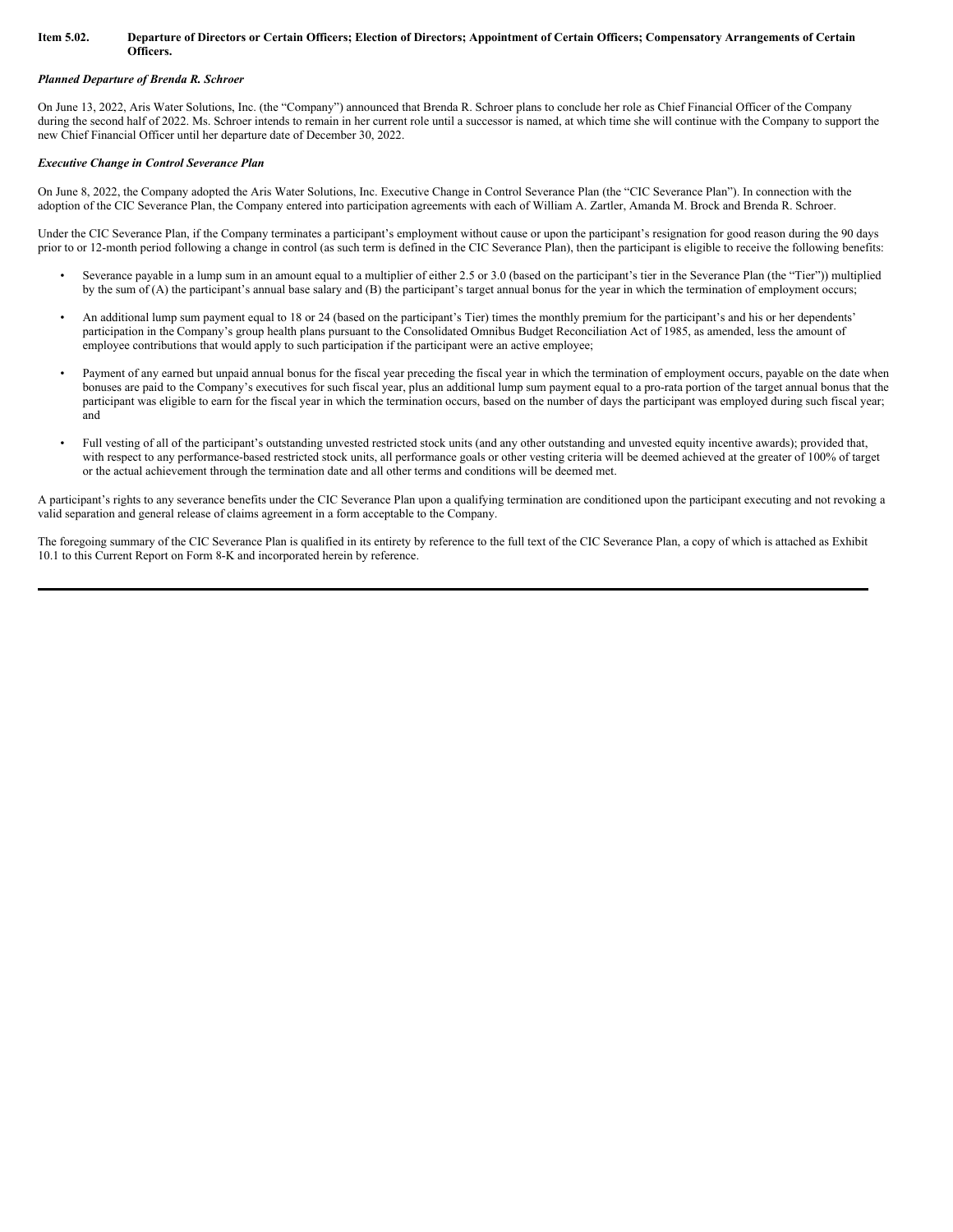#### Item 5.02. Departure of Directors or Certain Officers; Election of Directors; Appointment of Certain Officers; Compensatory Arrangements of Certain **Officers.**

#### *Planned Departure of Brenda R. Schroer*

On June 13, 2022, Aris Water Solutions, Inc. (the "Company") announced that Brenda R. Schroer plans to conclude her role as Chief Financial Officer of the Company during the second half of 2022. Ms. Schroer intends to remain in her current role until a successor is named, at which time she will continue with the Company to support the new Chief Financial Officer until her departure date of December 30, 2022.

#### *Executive Change in Control Severance Plan*

On June 8, 2022, the Company adopted the Aris Water Solutions, Inc. Executive Change in Control Severance Plan (the "CIC Severance Plan"). In connection with the adoption of the CIC Severance Plan, the Company entered into participation agreements with each of William A. Zartler, Amanda M. Brock and Brenda R. Schroer.

Under the CIC Severance Plan, if the Company terminates a participant's employment without cause or upon the participant's resignation for good reason during the 90 days prior to or 12-month period following a change in control (as such term is defined in the CIC Severance Plan), then the participant is eligible to receive the following benefits:

- Severance payable in a lump sum in an amount equal to a multiplier of either 2.5 or 3.0 (based on the participant's tier in the Severance Plan (the "Tier")) multiplied by the sum of (A) the participant's annual base salary and (B) the participant's target annual bonus for the year in which the termination of employment occurs;
- An additional lump sum payment equal to 18 or 24 (based on the participant's Tier) times the monthly premium for the participant's and his or her dependents' participation in the Company's group health plans pursuant to the Consolidated Omnibus Budget Reconciliation Act of 1985, as amended, less the amount of employee contributions that would apply to such participation if the participant were an active employee;
- Payment of any earned but unpaid annual bonus for the fiscal year preceding the fiscal year in which the termination of employment occurs, payable on the date when bonuses are paid to the Company's executives for such fiscal year, plus an additional lump sum payment equal to a pro-rata portion of the target annual bonus that the participant was eligible to earn for the fiscal year in which the termination occurs, based on the number of days the participant was employed during such fiscal year; and
- Full vesting of all of the participant's outstanding unvested restricted stock units (and any other outstanding and unvested equity incentive awards); provided that, with respect to any performance-based restricted stock units, all performance goals or other vesting criteria will be deemed achieved at the greater of 100% of target or the actual achievement through the termination date and all other terms and conditions will be deemed met.

A participant's rights to any severance benefits under the CIC Severance Plan upon a qualifying termination are conditioned upon the participant executing and not revoking a valid separation and general release of claims agreement in a form acceptable to the Company.

The foregoing summary of the CIC Severance Plan is qualified in its entirety by reference to the full text of the CIC Severance Plan, a copy of which is attached as Exhibit 10.1 to this Current Report on Form 8-K and incorporated herein by reference.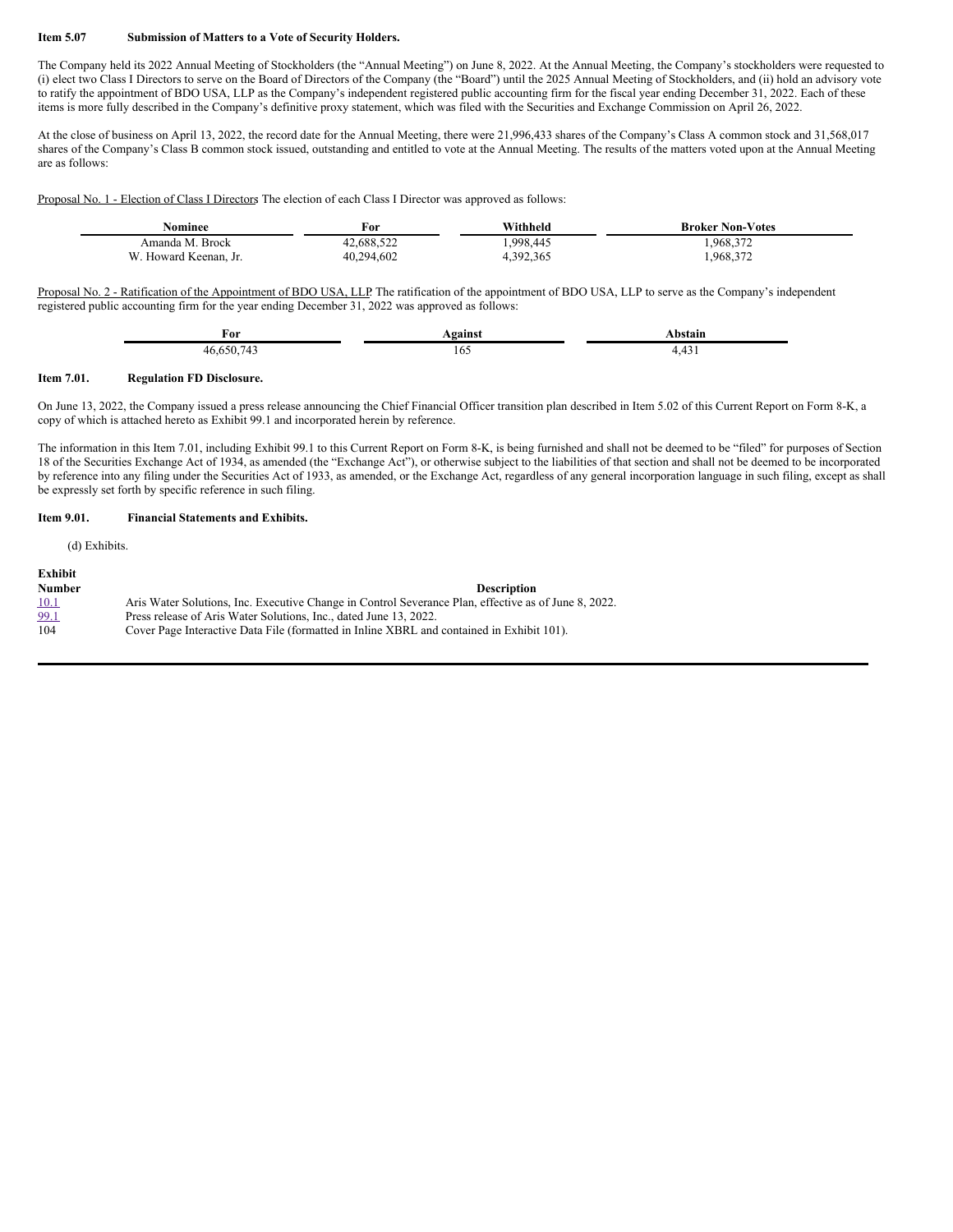#### **Item 5.07 Submission of Matters to a Vote of Security Holders.**

The Company held its 2022 Annual Meeting of Stockholders (the "Annual Meeting") on June 8, 2022. At the Annual Meeting, the Company's stockholders were requested to (i) elect two Class I Directors to serve on the Board of Directors of the Company (the "Board") until the 2025 Annual Meeting of Stockholders, and (ii) hold an advisory vote to ratify the appointment of BDO USA, LLP as the Company's independent registered public accounting firm for the fiscal year ending December 31, 2022. Each of these items is more fully described in the Company's definitive proxy statement, which was filed with the Securities and Exchange Commission on April 26, 2022.

At the close of business on April 13, 2022, the record date for the Annual Meeting, there were 21,996,433 shares of the Company's Class A common stock and 31,568,017 shares of the Company's Class B common stock issued, outstanding and entitled to vote at the Annual Meeting. The results of the matters voted upon at the Annual Meeting are as follows:

Proposal No. 1 - Election of Class I Directors: The election of each Class I Director was approved as follows:

| vominee                   | For        | Withheld  | <b>Broker Non-Votes</b> |
|---------------------------|------------|-----------|-------------------------|
| Amanda M. Brock           | 42.688.522 | .998.445  | 968,372                 |
| W<br>. Howard Keenan. Jr. | 40,294,602 | +,392,365 | 1,968,372               |

Proposal No. 2 - Ratification of the Appointment of BDO USA, LLP: The ratification of the appointment of BDO USA, LLP to serve as the Company's independent registered public accounting firm for the year ending December 31, 2022 was approved as follows:

| ₫or                           | . aaine⁄ | <b>Access</b> |  |
|-------------------------------|----------|---------------|--|
| $0.65074$ <sup>2</sup><br>46. | 102      | $\cdot$       |  |

#### **Item 7.01. Regulation FD Disclosure.**

On June 13, 2022, the Company issued a press release announcing the Chief Financial Officer transition plan described in Item 5.02 of this Current Report on Form 8-K, a copy of which is attached hereto as Exhibit 99.1 and incorporated herein by reference.

The information in this Item 7.01, including Exhibit 99.1 to this Current Report on Form 8-K, is being furnished and shall not be deemed to be "filed" for purposes of Section 18 of the Securities Exchange Act of 1934, as amended (the "Exchange Act"), or otherwise subject to the liabilities of that section and shall not be deemed to be incorporated by reference into any filing under the Securities Act of 1933, as amended, or the Exchange Act, regardless of any general incorporation language in such filing, except as shall be expressly set forth by specific reference in such filing.

#### **Item 9.01. Financial Statements and Exhibits.**

(d) Exhibits.

| Exhibit       |                                                                                                      |
|---------------|------------------------------------------------------------------------------------------------------|
| <b>Number</b> | <b>Description</b>                                                                                   |
| 10.1          | Aris Water Solutions, Inc. Executive Change in Control Severance Plan, effective as of June 8, 2022. |
| 99.1          | Press release of Aris Water Solutions. Inc., dated June 13, 2022.                                    |
| 104           | Cover Page Interactive Data File (formatted in Inline XBRL and contained in Exhibit 101).            |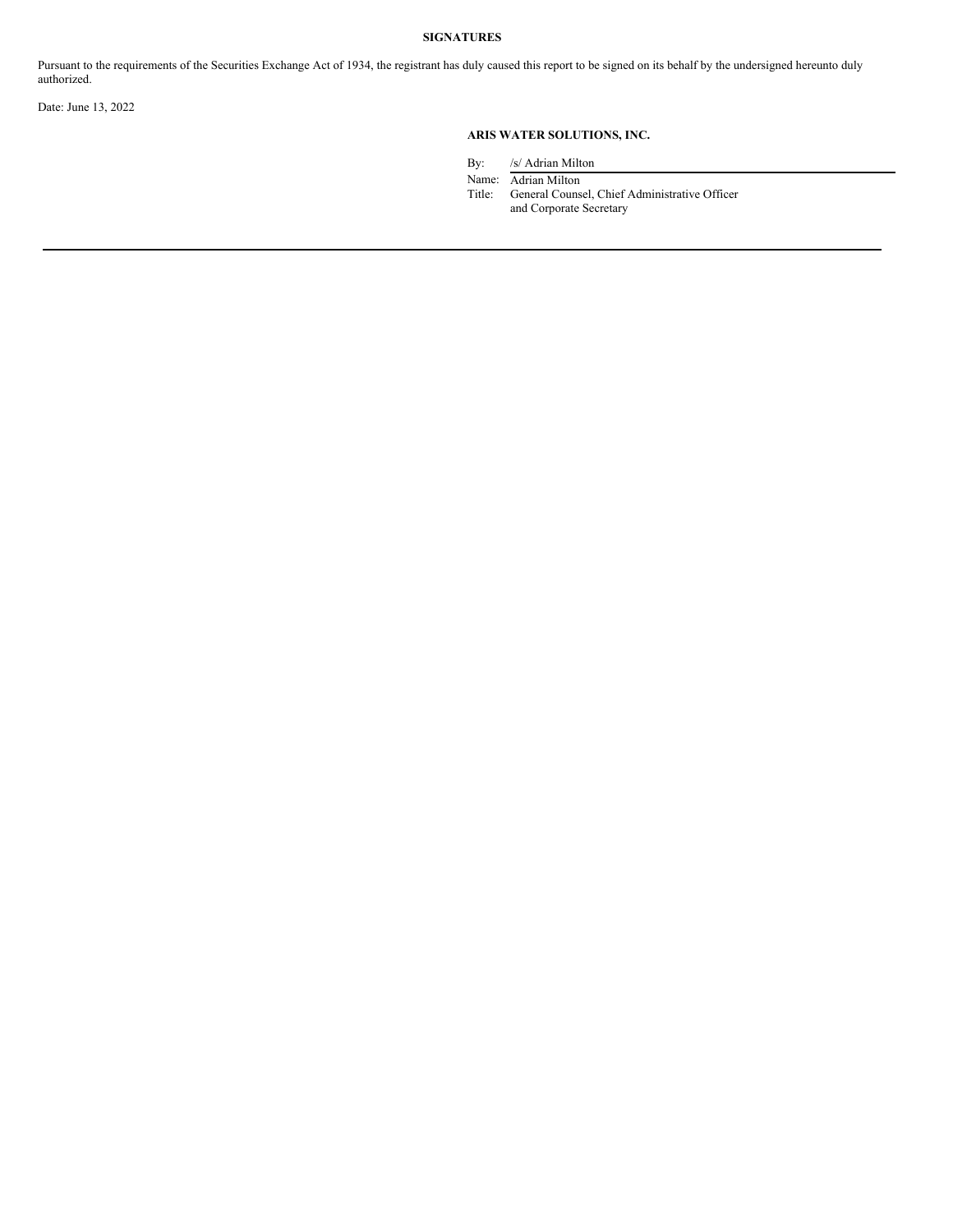# **SIGNATURES**

Pursuant to the requirements of the Securities Exchange Act of 1934, the registrant has duly caused this report to be signed on its behalf by the undersigned hereunto duly authorized.

Date: June 13, 2022

# **ARIS WATER SOLUTIONS, INC.**

By: /s/ Adrian Milton

Name: Adrian Milton

Title: General Counsel, Chief Administrative Officer and Corporate Secretary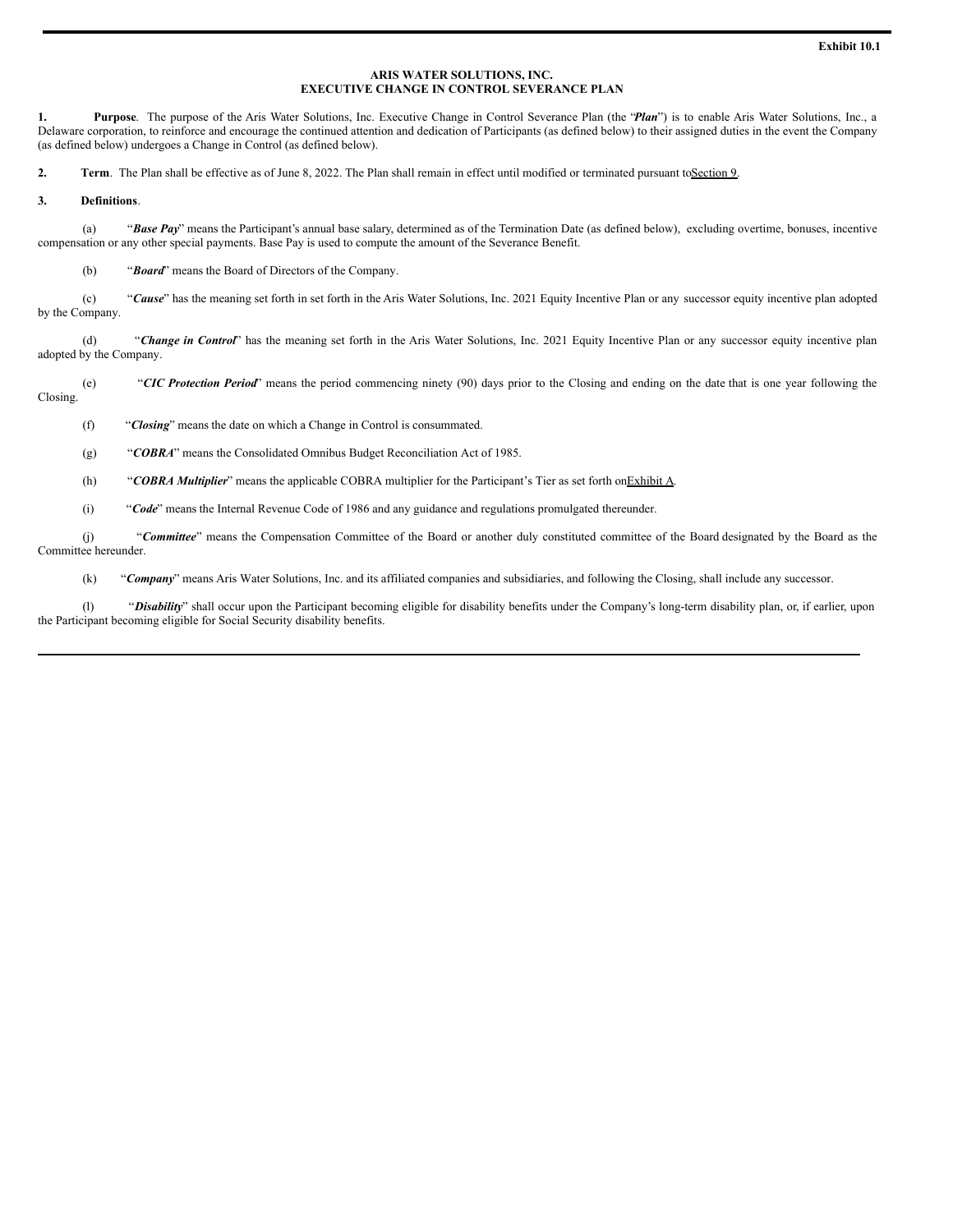## **ARIS WATER SOLUTIONS, INC. EXECUTIVE CHANGE IN CONTROL SEVERANCE PLAN**

**1. Purpose**. The purpose of the Aris Water Solutions, Inc. Executive Change in Control Severance Plan (the "*Plan*") is to enable Aris Water Solutions, Inc., a Delaware corporation, to reinforce and encourage the continued attention and dedication of Participants (as defined below) to their assigned duties in the event the Company (as defined below) undergoes a Change in Control (as defined below).

**2. Term**. The Plan shall be effective as of June 8, 2022. The Plan shall remain in effect until modified or terminated pursuant toSection 9.

#### **3. Definitions**.

(a) "*Base Pay*" means the Participant's annual base salary, determined as of the Termination Date (as defined below), excluding overtime, bonuses, incentive compensation or any other special payments. Base Pay is used to compute the amount of the Severance Benefit.

(b) "*Board*" means the Board of Directors of the Company.

(c) "*Cause*" has the meaning set forth in set forth in the Aris Water Solutions, Inc. 2021 Equity Incentive Plan or any successor equity incentive plan adopted by the Company.

(d) "*Change in Control*" has the meaning set forth in the Aris Water Solutions, Inc. 2021 Equity Incentive Plan or any successor equity incentive plan adopted by the Company.

(e) "*CIC Protection Period*" means the period commencing ninety (90) days prior to the Closing and ending on the date that is one year following the Closing.

(f) "*Closing*" means the date on which a Change in Control is consummated.

(g) "*COBRA*" means the Consolidated Omnibus Budget Reconciliation Act of 1985.

(h) "*COBRA Multiplier*" means the applicable COBRA multiplier for the Participant's Tier as set forth onExhibit A.

(i) "*Code*" means the Internal Revenue Code of 1986 and any guidance and regulations promulgated thereunder.

(j) "*Committee*" means the Compensation Committee of the Board or another duly constituted committee of the Board designated by the Board as the Committee hereunder.

(k) "*Company*" means Aris Water Solutions, Inc. and its affiliated companies and subsidiaries, and following the Closing, shall include any successor.

(l) "*Disability*" shall occur upon the Participant becoming eligible for disability benefits under the Company's long-term disability plan, or, if earlier, upon the Participant becoming eligible for Social Security disability benefits.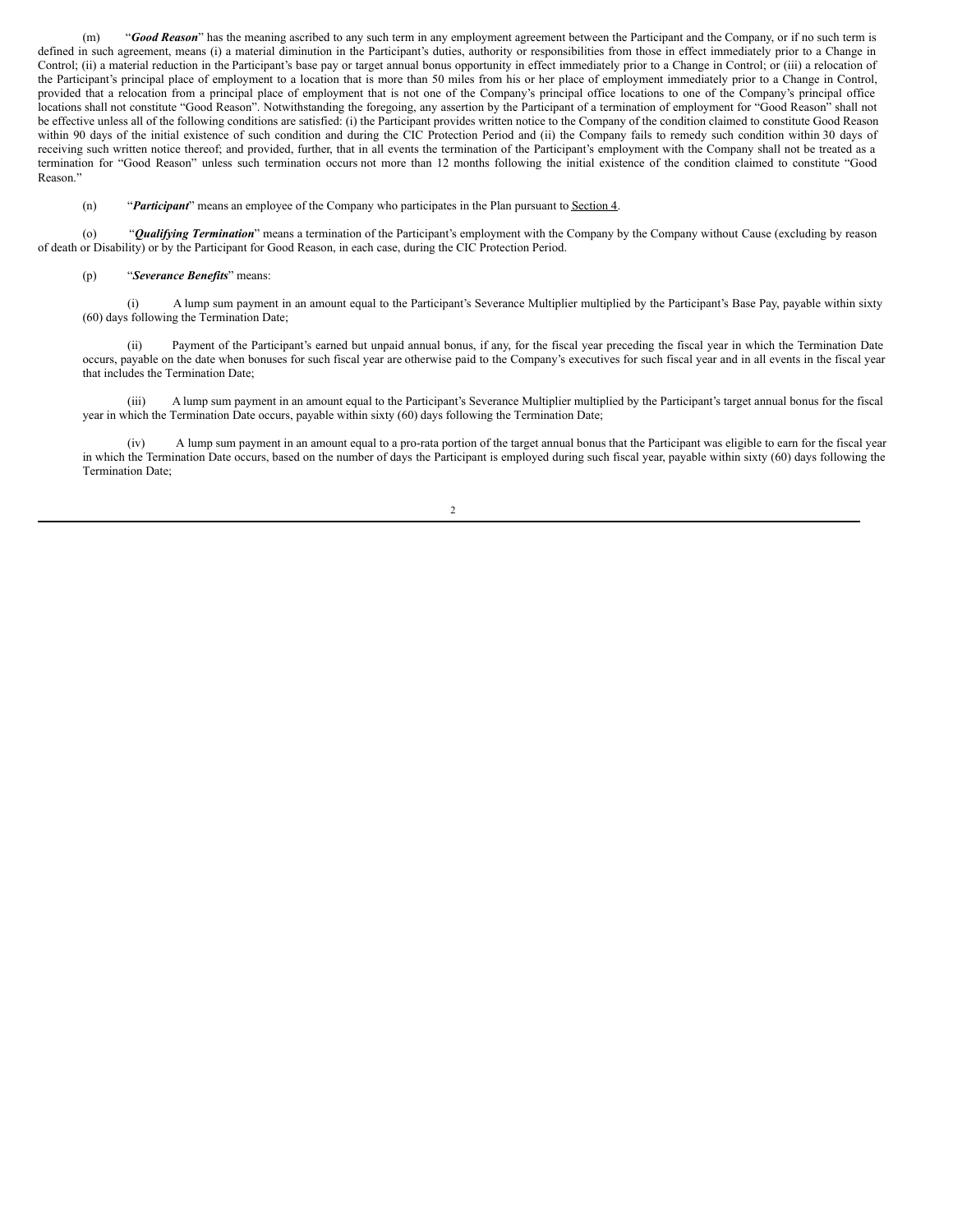(m) "*Good Reason*" has the meaning ascribed to any such term in any employment agreement between the Participant and the Company, or if no such term is defined in such agreement, means (i) a material diminution in the Participant's duties, authority or responsibilities from those in effect immediately prior to a Change in Control; (ii) a material reduction in the Participant's base pay or target annual bonus opportunity in effect immediately prior to a Change in Control; or (iii) a relocation of the Participant's principal place of employment to a location that is more than 50 miles from his or her place of employment immediately prior to a Change in Control, provided that a relocation from a principal place of employment that is not one of the Company's principal office locations to one of the Company's principal office locations shall not constitute "Good Reason". Notwithstanding the foregoing, any assertion by the Participant of a termination of employment for "Good Reason" shall not be effective unless all of the following conditions are satisfied: (i) the Participant provides written notice to the Company of the condition claimed to constitute Good Reason within 90 days of the initial existence of such condition and during the CIC Protection Period and (ii) the Company fails to remedy such condition within 30 days of receiving such written notice thereof; and provided, further, that in all events the termination of the Participant's employment with the Company shall not be treated as a termination for "Good Reason" unless such termination occurs not more than 12 months following the initial existence of the condition claimed to constitute "Good Reason."

#### (n) "*Participant*" means an employee of the Company who participates in the Plan pursuant to Section 4.

(o) "*Qualifying Termination*" means a termination of the Participant's employment with the Company by the Company without Cause (excluding by reason of death or Disability) or by the Participant for Good Reason, in each case, during the CIC Protection Period.

#### (p) "*Severance Benefits*" means:

(i) A lump sum payment in an amount equal to the Participant's Severance Multiplier multiplied by the Participant's Base Pay, payable within sixty (60) days following the Termination Date;

(ii) Payment of the Participant's earned but unpaid annual bonus, if any, for the fiscal year preceding the fiscal year in which the Termination Date occurs, payable on the date when bonuses for such fiscal year are otherwise paid to the Company's executives for such fiscal year and in all events in the fiscal year that includes the Termination Date;

(iii) A lump sum payment in an amount equal to the Participant's Severance Multiplier multiplied by the Participant's target annual bonus for the fiscal year in which the Termination Date occurs, payable within sixty (60) days following the Termination Date;

(iv) A lump sum payment in an amount equal to a pro-rata portion of the target annual bonus that the Participant was eligible to earn for the fiscal year in which the Termination Date occurs, based on the number of days the Participant is employed during such fiscal year, payable within sixty (60) days following the Termination Date;

2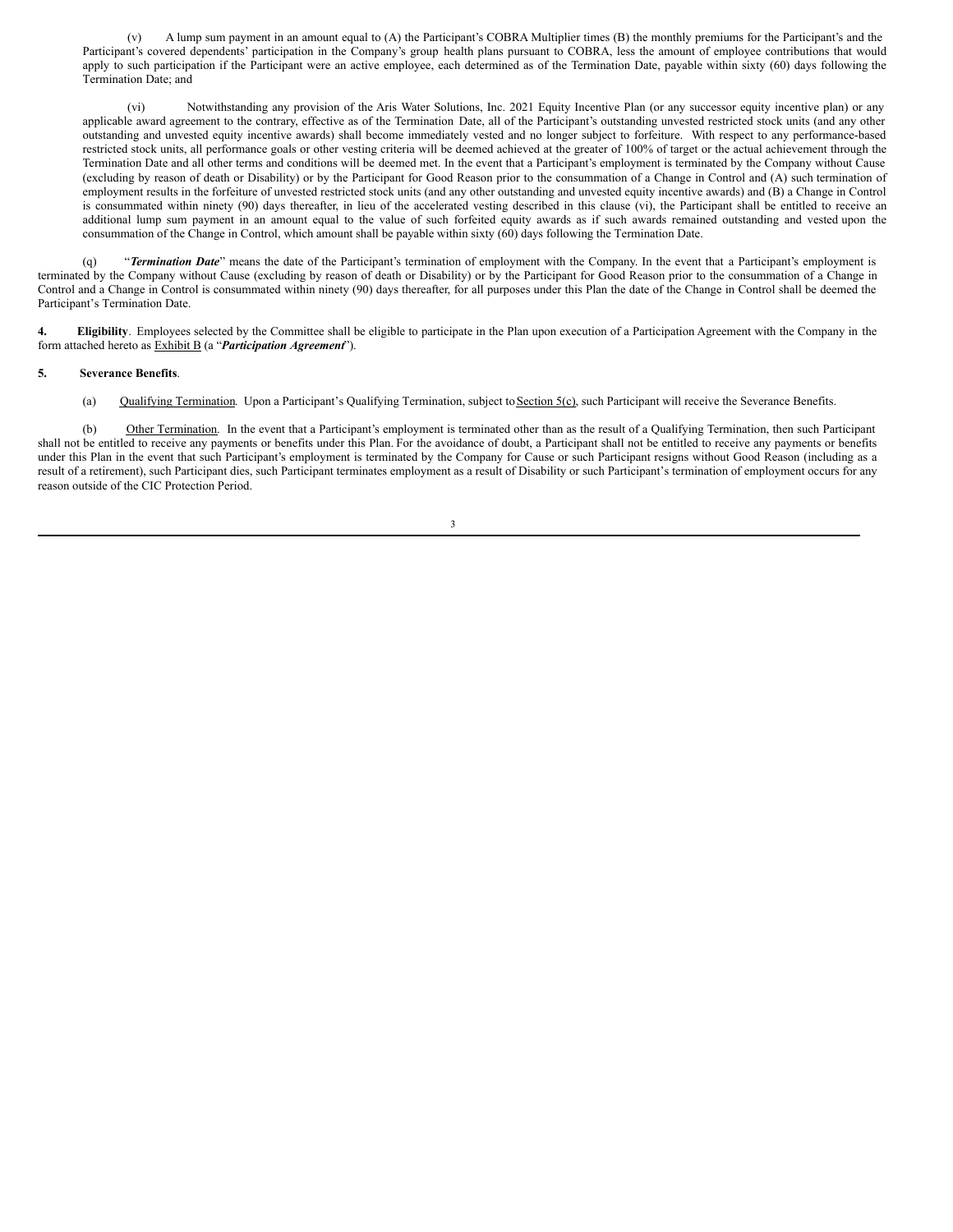(v) A lump sum payment in an amount equal to (A) the Participant's COBRA Multiplier times (B) the monthly premiums for the Participant's and the Participant's covered dependents' participation in the Company's group health plans pursuant to COBRA, less the amount of employee contributions that would apply to such participation if the Participant were an active employee, each determined as of the Termination Date, payable within sixty (60) days following the Termination Date; and

(vi) Notwithstanding any provision of the Aris Water Solutions, Inc. 2021 Equity Incentive Plan (or any successor equity incentive plan) or any applicable award agreement to the contrary, effective as of the Termination Date, all of the Participant's outstanding unvested restricted stock units (and any other outstanding and unvested equity incentive awards) shall become immediately vested and no longer subject to forfeiture. With respect to any performance-based restricted stock units, all performance goals or other vesting criteria will be deemed achieved at the greater of 100% of target or the actual achievement through the Termination Date and all other terms and conditions will be deemed met. In the event that a Participant's employment is terminated by the Company without Cause (excluding by reason of death or Disability) or by the Participant for Good Reason prior to the consummation of a Change in Control and (A) such termination of employment results in the forfeiture of unvested restricted stock units (and any other outstanding and unvested equity incentive awards) and (B) a Change in Control is consummated within ninety (90) days thereafter, in lieu of the accelerated vesting described in this clause (vi), the Participant shall be entitled to receive an additional lump sum payment in an amount equal to the value of such forfeited equity awards as if such awards remained outstanding and vested upon the consummation of the Change in Control, which amount shall be payable within sixty (60) days following the Termination Date.

(q) "*Termination Date*" means the date of the Participant's termination of employment with the Company. In the event that a Participant's employment is terminated by the Company without Cause (excluding by reason of death or Disability) or by the Participant for Good Reason prior to the consummation of a Change in Control and a Change in Control is consummated within ninety (90) days thereafter, for all purposes under this Plan the date of the Change in Control shall be deemed the Participant's Termination Date.

**4. Eligibility**. Employees selected by the Committee shall be eligible to participate in the Plan upon execution of a Participation Agreement with the Company in the form attached hereto as Exhibit B (a "*Participation Agreement*").

#### **5. Severance Benefits**.

(a) Qualifying Termination. Upon a Participant's Qualifying Termination, subject to Section 5(c), such Participant will receive the Severance Benefits.

(b) Other Termination. In the event that a Participant's employment is terminated other than as the result of a Qualifying Termination, then such Participant shall not be entitled to receive any payments or benefits under this Plan. For the avoidance of doubt, a Participant shall not be entitled to receive any payments or benefits under this Plan in the event that such Participant's employment is terminated by the Company for Cause or such Participant resigns without Good Reason (including as a result of a retirement), such Participant dies, such Participant terminates employment as a result of Disability or such Participant's termination of employment occurs for any reason outside of the CIC Protection Period.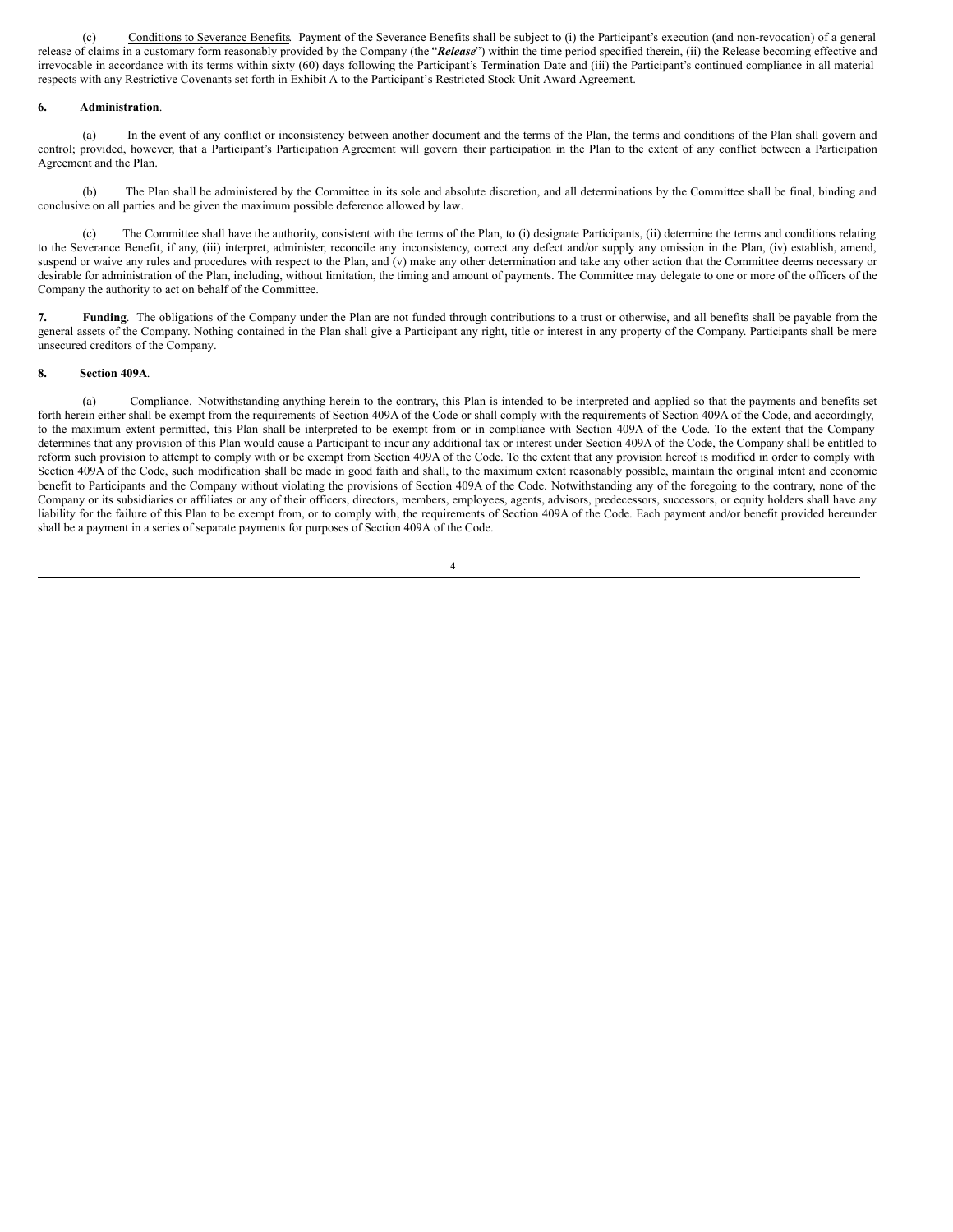(c) Conditions to Severance Benefits. Payment of the Severance Benefits shall be subject to (i) the Participant's execution (and non-revocation) of a general release of claims in a customary form reasonably provided by the Company (the "*Release*") within the time period specified therein, (ii) the Release becoming effective and irrevocable in accordance with its terms within sixty (60) days following the Participant's Termination Date and (iii) the Participant's continued compliance in all material respects with any Restrictive Covenants set forth in Exhibit A to the Participant's Restricted Stock Unit Award Agreement.

## **6. Administration**.

(a) In the event of any conflict or inconsistency between another document and the terms of the Plan, the terms and conditions of the Plan shall govern and control; provided, however, that a Participant's Participation Agreement will govern their participation in the Plan to the extent of any conflict between a Participation Agreement and the Plan.

(b) The Plan shall be administered by the Committee in its sole and absolute discretion, and all determinations by the Committee shall be final, binding and conclusive on all parties and be given the maximum possible deference allowed by law.

(c) The Committee shall have the authority, consistent with the terms of the Plan, to (i) designate Participants, (ii) determine the terms and conditions relating to the Severance Benefit, if any, (iii) interpret, administer, reconcile any inconsistency, correct any defect and/or supply any omission in the Plan, (iv) establish, amend, suspend or waive any rules and procedures with respect to the Plan, and (v) make any other determination and take any other action that the Committee deems necessary or desirable for administration of the Plan, including, without limitation, the timing and amount of payments. The Committee may delegate to one or more of the officers of the Company the authority to act on behalf of the Committee.

**7. Funding**. The obligations of the Company under the Plan are not funded through contributions to a trust or otherwise, and all benefits shall be payable from the general assets of the Company. Nothing contained in the Plan shall give a Participant any right, title or interest in any property of the Company. Participants shall be mere unsecured creditors of the Company.

#### **8. Section 409A**.

(a) Compliance. Notwithstanding anything herein to the contrary, this Plan is intended to be interpreted and applied so that the payments and benefits set forth herein either shall be exempt from the requirements of Section 409A of the Code or shall comply with the requirements of Section 409A of the Code, and accordingly, to the maximum extent permitted, this Plan shall be interpreted to be exempt from or in compliance with Section 409A of the Code. To the extent that the Company determines that any provision of this Plan would cause a Participant to incur any additional tax or interest under Section 409A of the Code, the Company shall be entitled to reform such provision to attempt to comply with or be exempt from Section 409A of the Code. To the extent that any provision hereof is modified in order to comply with Section 409A of the Code, such modification shall be made in good faith and shall, to the maximum extent reasonably possible, maintain the original intent and economic benefit to Participants and the Company without violating the provisions of Section 409A of the Code. Notwithstanding any of the foregoing to the contrary, none of the Company or its subsidiaries or affiliates or any of their officers, directors, members, employees, agents, advisors, predecessors, successors, or equity holders shall have any liability for the failure of this Plan to be exempt from, or to comply with, the requirements of Section 409A of the Code. Each payment and/or benefit provided hereunder shall be a payment in a series of separate payments for purposes of Section 409A of the Code.

4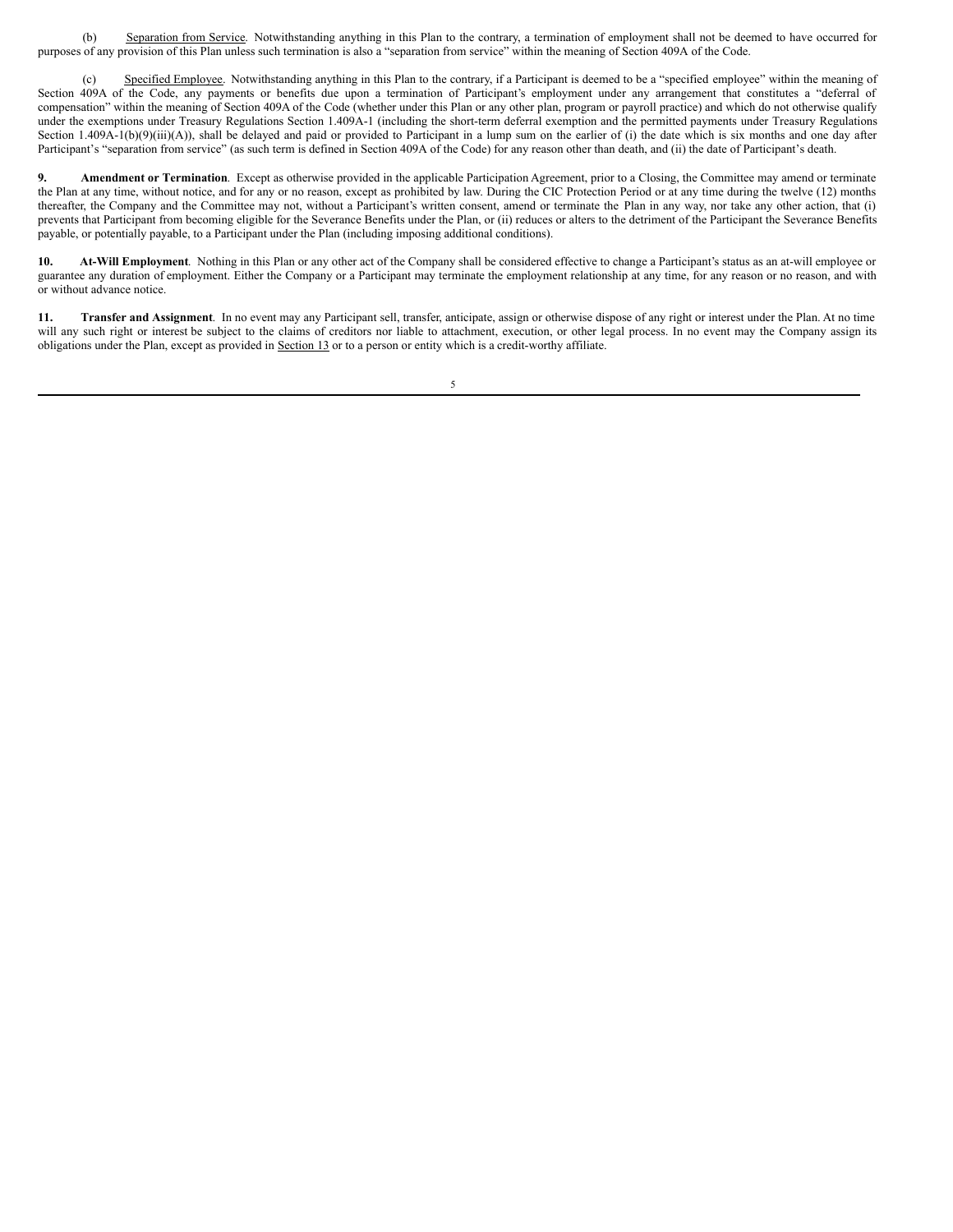<span id="page-8-0"></span>(b) Separation from Service. Notwithstanding anything in this Plan to the contrary, a termination of employment shall not be deemed to have occurred for purposes of any provision of this Plan unless such termination is also a "separation from service" within the meaning of Section 409A of the Code.

(c) Specified Employee. Notwithstanding anything in this Plan to the contrary, if a Participant is deemed to be a "specified employee" within the meaning of Section 409A of the Code, any payments or benefits due upon a termination of Participant's employment under any arrangement that constitutes a "deferral of compensation" within the meaning of Section 409A of the Code (whether under this Plan or any other plan, program or payroll practice) and which do not otherwise qualify under the exemptions under Treasury Regulations Section 1.409A-1 (including the short-term deferral exemption and the permitted payments under Treasury Regulations Section 1.409A-1(b)(9)(iii)(A)), shall be delayed and paid or provided to Participant in a lump sum on the earlier of (i) the date which is six months and one day after Participant's "separation from service" (as such term is defined in Section 409A of the Code) for any reason other than death, and (ii) the date of Participant's death.

**9. Amendment or Termination**. Except as otherwise provided in the applicable Participation Agreement, prior to a Closing, the Committee may amend or terminate the Plan at any time, without notice, and for any or no reason, except as prohibited by law. During the CIC Protection Period or at any time during the twelve (12) months thereafter, the Company and the Committee may not, without a Participant's written consent, amend or terminate the Plan in any way, nor take any other action, that (i) prevents that Participant from becoming eligible for the Severance Benefits under the Plan, or (ii) reduces or alters to the detriment of the Participant the Severance Benefits payable, or potentially payable, to a Participant under the Plan (including imposing additional conditions).

**10. At-Will Employment**. Nothing in this Plan or any other act of the Company shall be considered effective to change a Participant's status as an at-will employee or guarantee any duration of employment. Either the Company or a Participant may terminate the employment relationship at any time, for any reason or no reason, and with or without advance notice.

**11. Transfer and Assignment**. In no event may any Participant sell, transfer, anticipate, assign or otherwise dispose of any right or interest under the Plan. At no time will any such right or interest be subject to the claims of creditors nor liable to attachment, execution, or other legal process. In no event may the Company assign its obligations under the Plan, except as provided in Section 13 or to a person or entity which is a credit-worthy affiliate.

5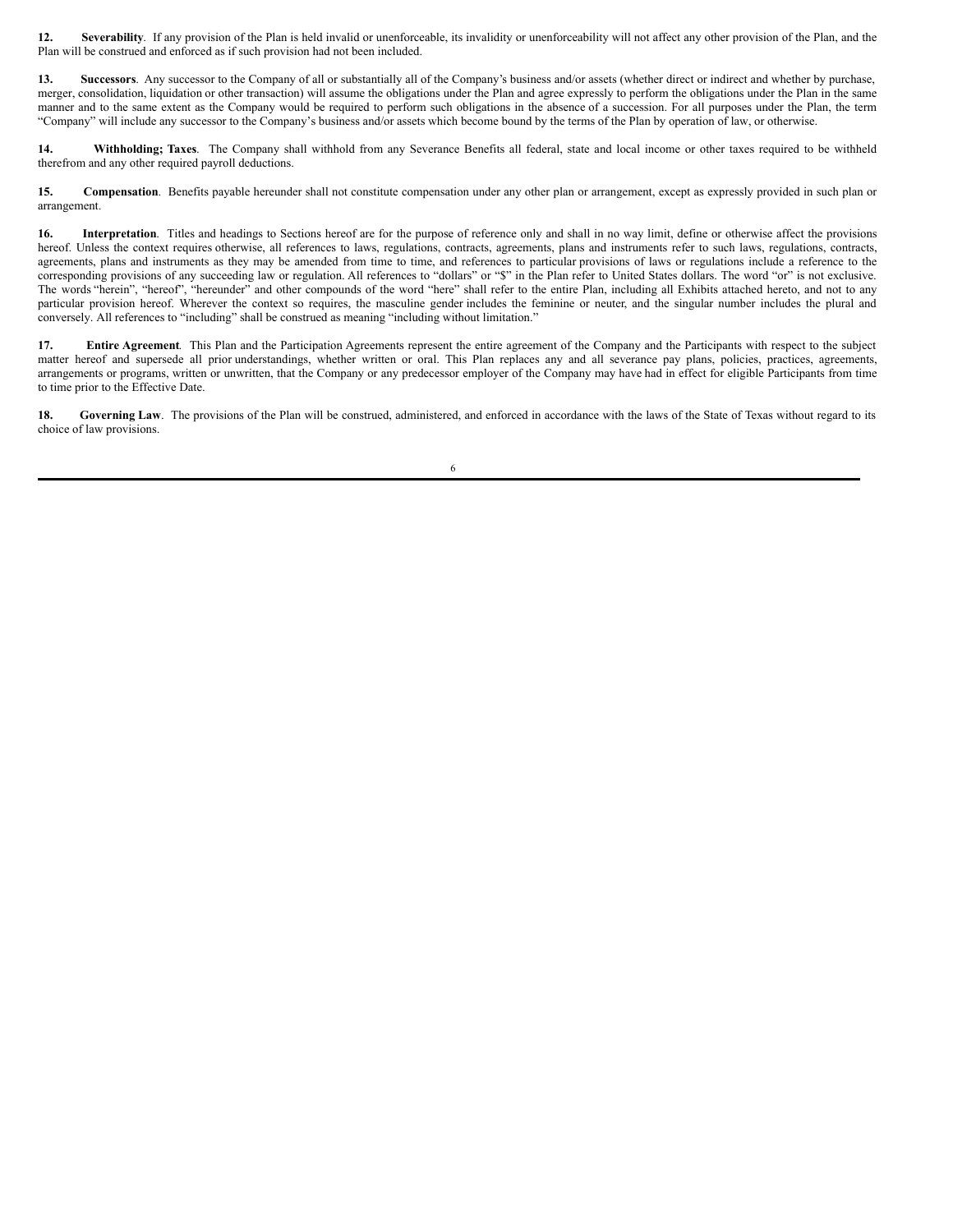**12. Severability**. If any provision of the Plan is held invalid or unenforceable, its invalidity or unenforceability will not affect any other provision of the Plan, and the Plan will be construed and enforced as if such provision had not been included.

**13. Successors**. Any successor to the Company of all or substantially all of the Company's business and/or assets (whether direct or indirect and whether by purchase, merger, consolidation, liquidation or other transaction) will assume the obligations under the Plan and agree expressly to perform the obligations under the Plan in the same manner and to the same extent as the Company would be required to perform such obligations in the absence of a succession. For all purposes under the Plan, the term "Company" will include any successor to the Company's business and/or assets which become bound by the terms of the Plan by operation of law, or otherwise.

**14. Withholding; Taxes**. The Company shall withhold from any Severance Benefits all federal, state and local income or other taxes required to be withheld therefrom and any other required payroll deductions.

**15. Compensation**. Benefits payable hereunder shall not constitute compensation under any other plan or arrangement, except as expressly provided in such plan or arrangement.

**16.** Interpretation. Titles and headings to Sections hereof are for the purpose of reference only and shall in no way limit, define or otherwise affect the provisions hereof. Unless the context requires otherwise, all references to laws, regulations, contracts, agreements, plans and instruments refer to such laws, regulations, contracts, agreements, plans and instruments as they may be amended from time to time, and references to particular provisions of laws or regulations include a reference to the corresponding provisions of any succeeding law or regulation. All references to "dollars" or "\$" in the Plan refer to United States dollars. The word "or" is not exclusive. The words "herein", "hereof", "hereunder" and other compounds of the word "here" shall refer to the entire Plan, including all Exhibits attached hereto, and not to any particular provision hereof. Wherever the context so requires, the masculine gender includes the feminine or neuter, and the singular number includes the plural and conversely. All references to "including" shall be construed as meaning "including without limitation."

**17. Entire Agreement**. This Plan and the Participation Agreements represent the entire agreement of the Company and the Participants with respect to the subject matter hereof and supersede all prior understandings, whether written or oral. This Plan replaces any and all severance pay plans, policies, practices, agreements, arrangements or programs, written or unwritten, that the Company or any predecessor employer of the Company may have had in effect for eligible Participants from time to time prior to the Effective Date.

18. Governing Law. The provisions of the Plan will be construed, administered, and enforced in accordance with the laws of the State of Texas without regard to its choice of law provisions.

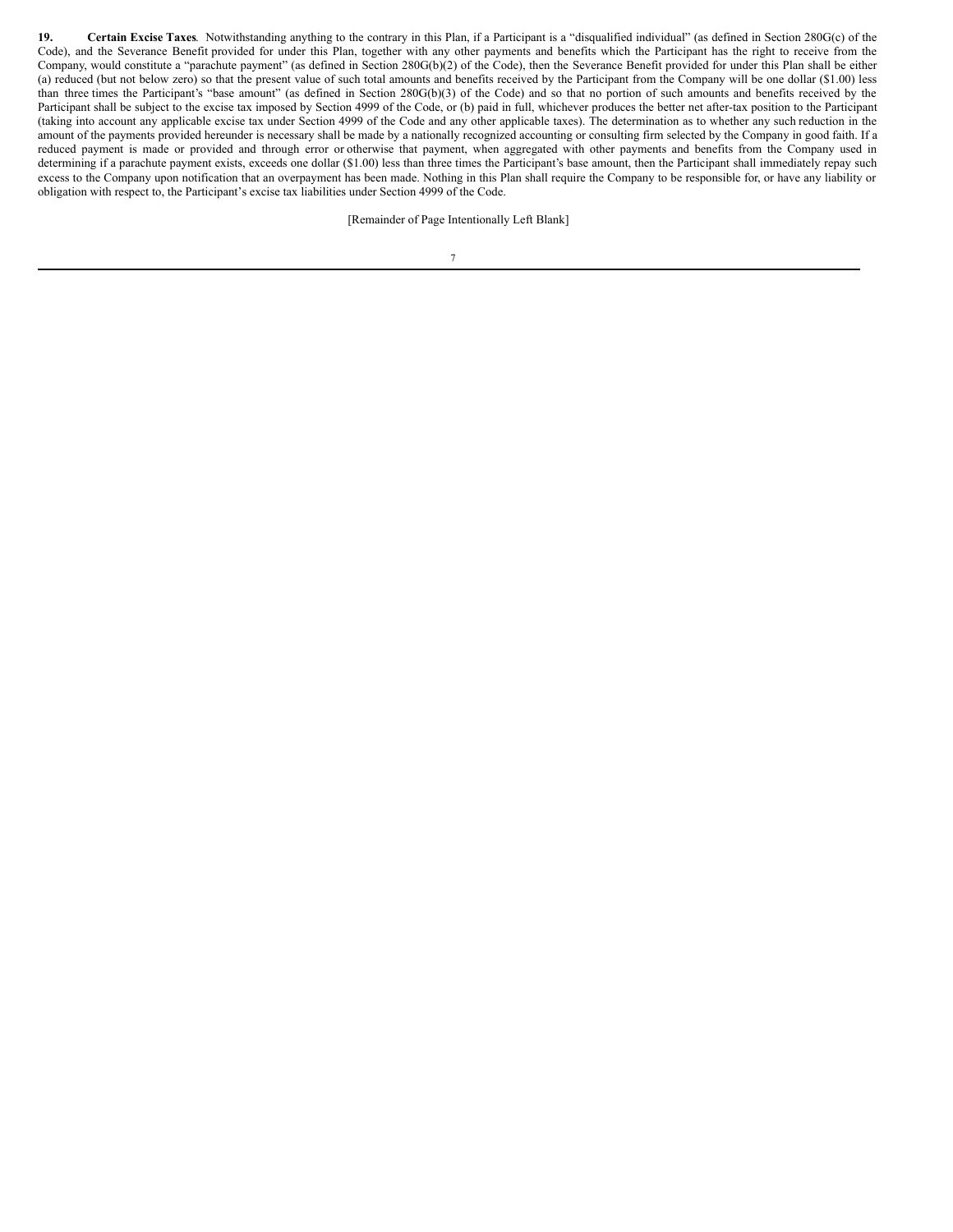**19. Certain Excise Taxes**. Notwithstanding anything to the contrary in this Plan, if a Participant is a "disqualified individual" (as defined in Section 280G(c) of the Code), and the Severance Benefit provided for under this Plan, together with any other payments and benefits which the Participant has the right to receive from the Company, would constitute a "parachute payment" (as defined in Section 280G(b)(2) of the Code), then the Severance Benefit provided for under this Plan shall be either (a) reduced (but not below zero) so that the present value of such total amounts and benefits received by the Participant from the Company will be one dollar (\$1.00) less than three times the Participant's "base amount" (as defined in Section 280G(b)(3) of the Code) and so that no portion of such amounts and benefits received by the Participant shall be subject to the excise tax imposed by Section 4999 of the Code, or (b) paid in full, whichever produces the better net after-tax position to the Participant (taking into account any applicable excise tax under Section 4999 of the Code and any other applicable taxes). The determination as to whether any such reduction in the amount of the payments provided hereunder is necessary shall be made by a nationally recognized accounting or consulting firm selected by the Company in good faith. If a reduced payment is made or provided and through error or otherwise that payment, when aggregated with other payments and benefits from the Company used in determining if a parachute payment exists, exceeds one dollar (\$1.00) less than three times the Participant's base amount, then the Participant shall immediately repay such excess to the Company upon notification that an overpayment has been made. Nothing in this Plan shall require the Company to be responsible for, or have any liability or obligation with respect to, the Participant's excise tax liabilities under Section 4999 of the Code.

[Remainder of Page Intentionally Left Blank]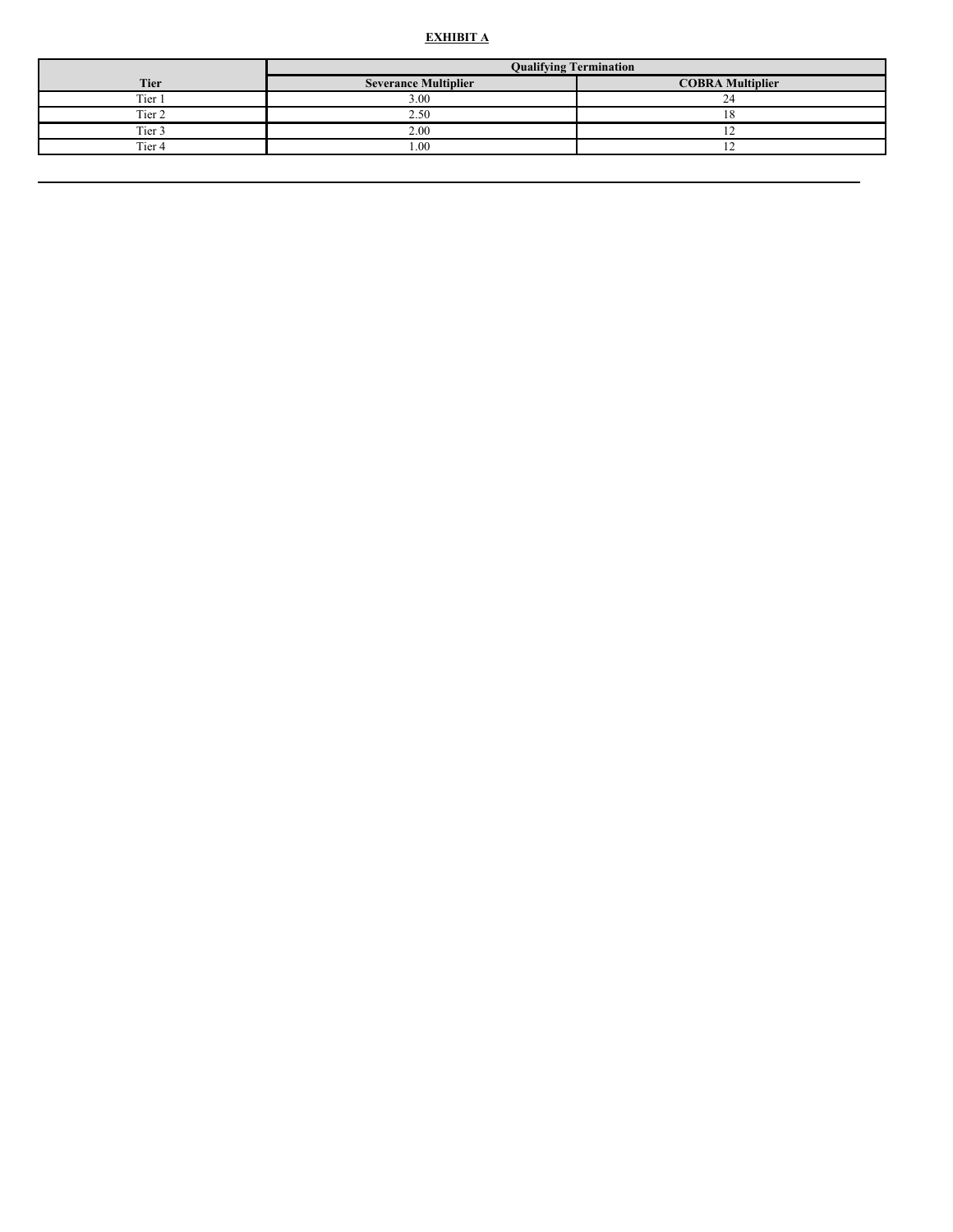#### **E X H I B I T A**

|             | <b>Oualifying Termination</b> |                         |  |
|-------------|-------------------------------|-------------------------|--|
| <b>Tier</b> | <b>Severance Multiplier</b>   | <b>COBRA Multiplier</b> |  |
| Tier.       | 3.00                          | $\sim$                  |  |
| Tier 2      | 2.50                          |                         |  |
| Tier 3      | 2.00                          |                         |  |
| Tier 4      | .00                           |                         |  |
|             |                               |                         |  |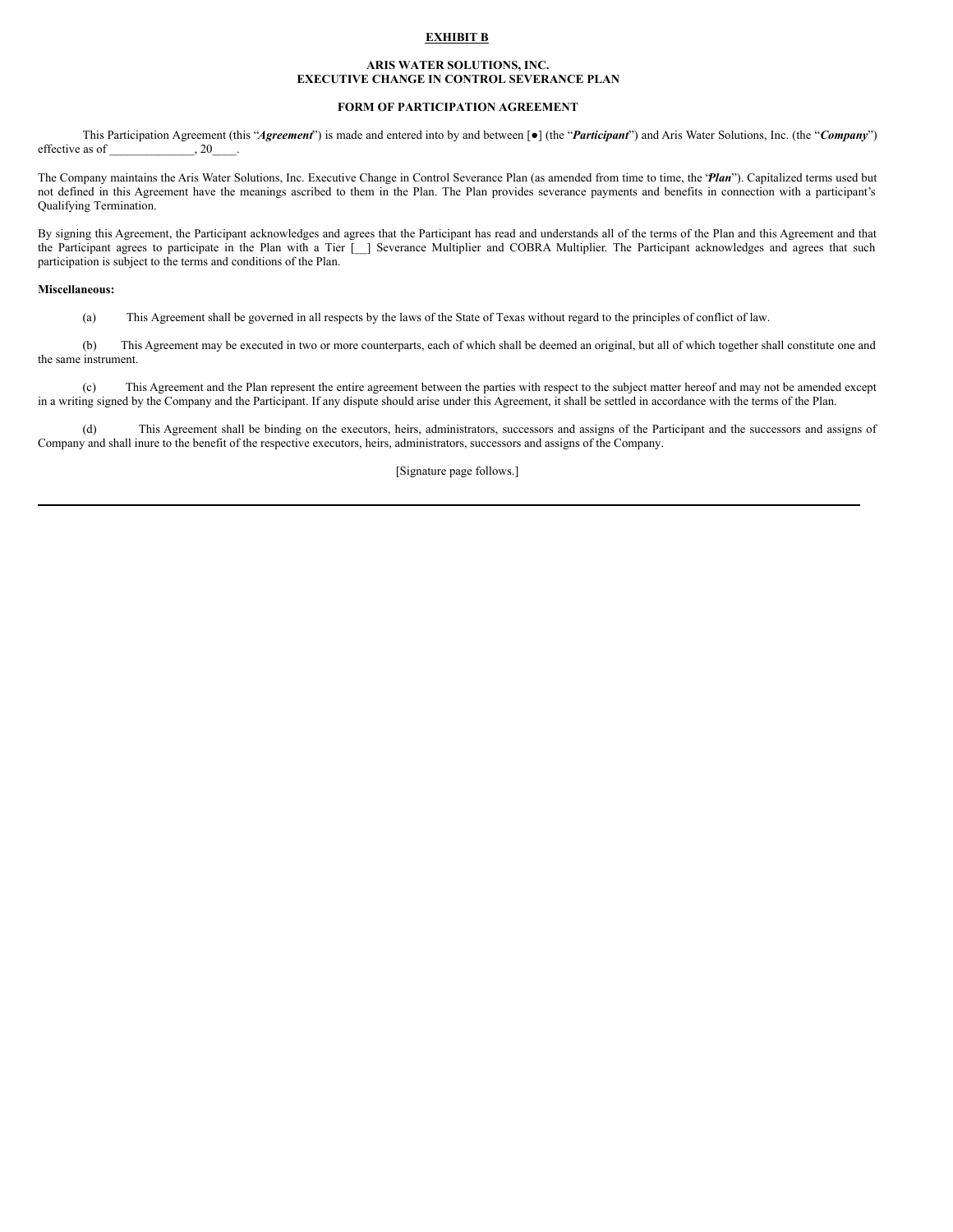## **EXHIBIT B**

#### **ARIS WATER SOLUTIONS, INC. EXECUTIVE CHANGE IN CONTROL SEVERANCE PLAN**

# **FORM OF PARTICIPATION AGREEMENT**

This Participation Agreement (this "*Agreement*") is made and entered into by and between [●] (the "*Participant*") and Aris Water Solutions, Inc. (the "*Company*") effective as of  $\qquad \qquad , 20$ 

The Company maintains the Aris Water Solutions, Inc. Executive Change in Control Severance Plan (as amended from time to time, the "*Plan*"). Capitalized terms used but not defined in this Agreement have the meanings ascribed to them in the Plan. The Plan provides severance payments and benefits in connection with a participant's Qualifying Termination.

By signing this Agreement, the Participant acknowledges and agrees that the Participant has read and understands all of the terms of the Plan and this Agreement and that the Participant agrees to participate in the Plan with a Tier [\_\_] Severance Multiplier and COBRA Multiplier. The Participant acknowledges and agrees that such participation is subject to the terms and conditions of the Plan.

#### **Miscellaneous:**

(a) This Agreement shall be governed in all respects by the laws of the State of Texas without regard to the principles of conflict of law.

(b) This Agreement may be executed in two or more counterparts, each of which shall be deemed an original, but all of which together shall constitute one and the same instrument.

(c) This Agreement and the Plan represent the entire agreement between the parties with respect to the subject matter hereof and may not be amended except in a writing signed by the Company and the Participant. If any dispute should arise under this Agreement, it shall be settled in accordance with the terms of the Plan.

(d) This Agreement shall be binding on the executors, heirs, administrators, successors and assigns of the Participant and the successors and assigns of Company and shall inure to the benefit of the respective executors, heirs, administrators, successors and assigns of the Company.

[Signature page follows.]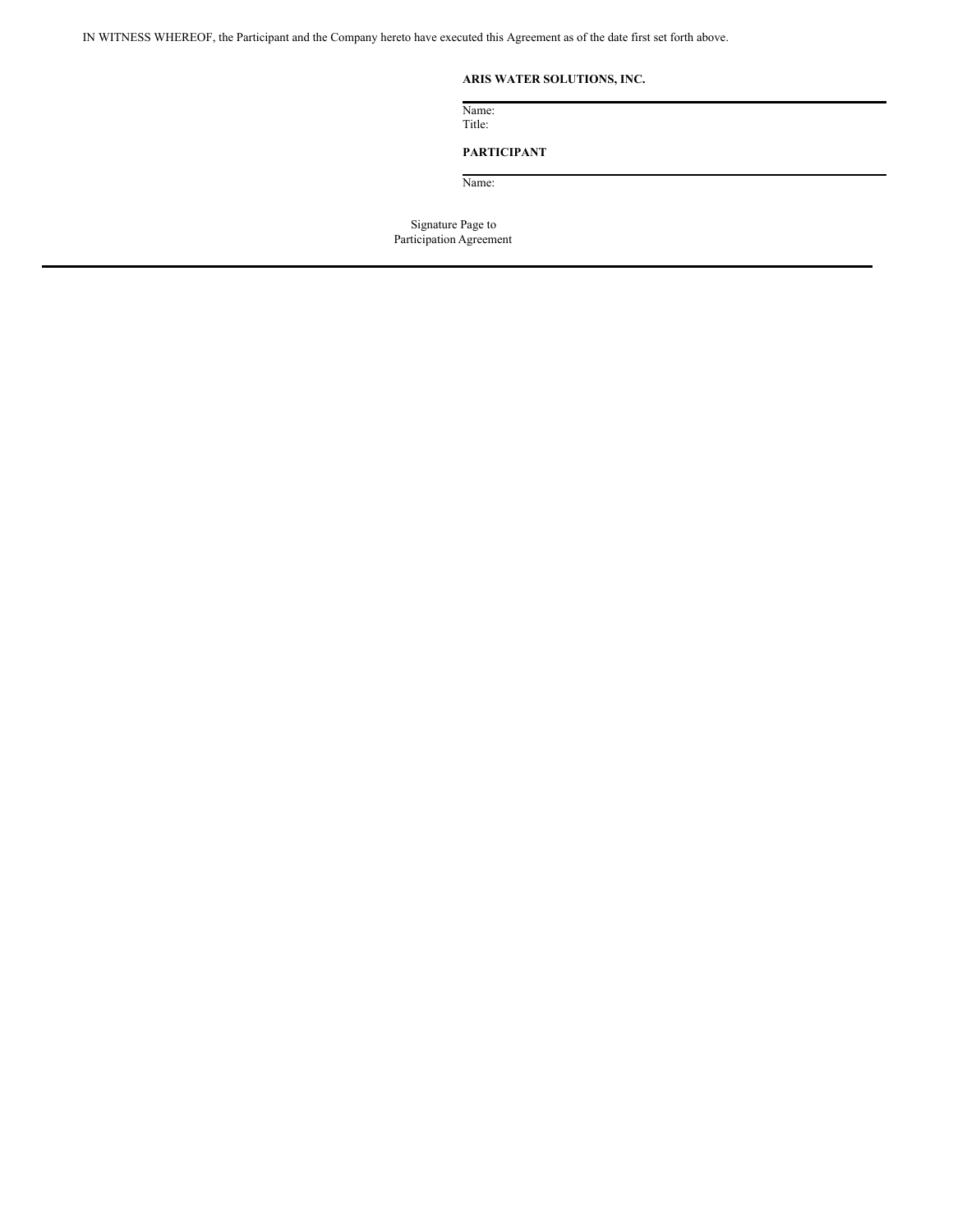IN WITNESS WHEREOF, the Participant and the Company hereto have executed this Agreement as of the date first set forth above.

# **ARIS WATER SOLUTIONS, INC.**

Name: Title:

# **PARTICIPANT**

Name:

Signature Page to Participation Agreement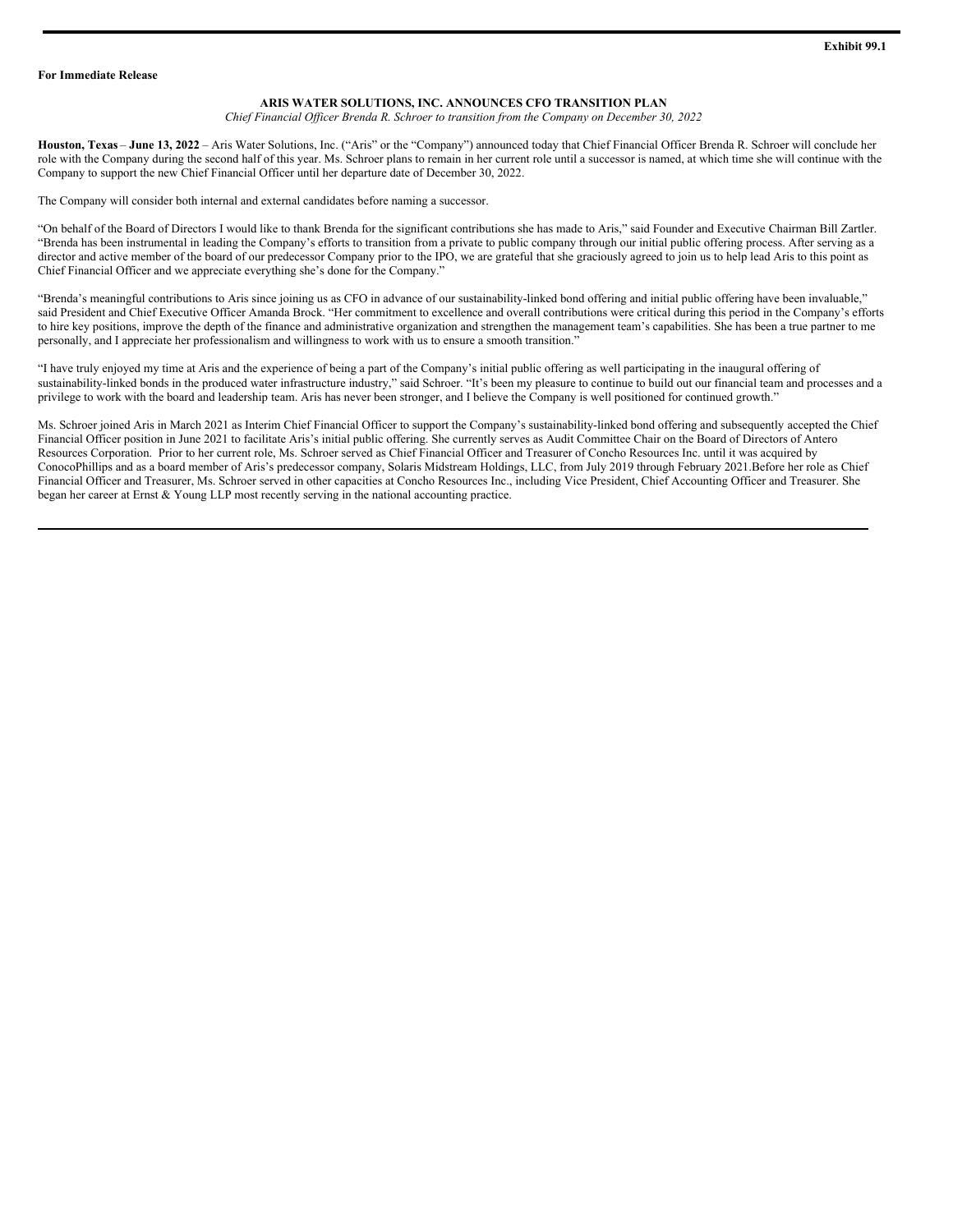#### <span id="page-14-0"></span>**For Immediate Release**

#### **ARIS WATER SOLUTIONS, INC. ANNOUNCES CFO TRANSITION PLAN**

*Chief Financial Of icer Brenda R. Schroer to transition from the Company on December 30, 2022*

**Houston, Texas** – **June 13, 2022** – Aris Water Solutions, Inc. ("Aris" or the "Company") announced today that Chief Financial Officer Brenda R. Schroer will conclude her role with the Company during the second half of this year. Ms. Schroer plans to remain in her current role until a successor is named, at which time she will continue with the Company to support the new Chief Financial Officer until her departure date of December 30, 2022.

The Company will consider both internal and external candidates before naming a successor.

"On behalf of the Board of Directors I would like to thank Brenda for the significant contributions she has made to Aris," said Founder and Executive Chairman Bill Zartler. "Brenda has been instrumental in leading the Company's efforts to transition from a private to public company through our initial public offering process. After serving as a director and active member of the board of our predecessor Company prior to the IPO, we are grateful that she graciously agreed to join us to help lead Aris to this point as Chief Financial Officer and we appreciate everything she's done for the Company."

"Brenda's meaningful contributions to Aris since joining us as CFO in advance of our sustainability-linked bond offering and initial public offering have been invaluable," said President and Chief Executive Officer Amanda Brock. "Her commitment to excellence and overall contributions were critical during this period in the Company's efforts to hire key positions, improve the depth of the finance and administrative organization and strengthen the management team's capabilities. She has been a true partner to me personally, and I appreciate her professionalism and willingness to work with us to ensure a smooth transition."

"I have truly enjoyed my time at Aris and the experience of being a part of the Company's initial public offering as well participating in the inaugural offering of sustainability-linked bonds in the produced water infrastructure industry," said Schroer. "It's been my pleasure to continue to build out our financial team and processes and a privilege to work with the board and leadership team. Aris has never been stronger, and I believe the Company is well positioned for continued growth."

Ms. Schroer joined Aris in March 2021 as Interim Chief Financial Officer to support the Company's sustainability-linked bond offering and subsequently accepted the Chief Financial Officer position in June 2021 to facilitate Aris's initial public offering. She currently serves as Audit Committee Chair on the Board of Directors of Antero Resources Corporation. Prior to her current role, Ms. Schroer served as Chief Financial Officer and Treasurer of Concho Resources Inc. until it was acquired by ConocoPhillips and as a board member of Aris's predecessor company, Solaris Midstream Holdings, LLC, from July 2019 through February 2021.Before her role as Chief Financial Officer and Treasurer, Ms. Schroer served in other capacities at Concho Resources Inc., including Vice President, Chief Accounting Officer and Treasurer. She began her career at Ernst & Young LLP most recently serving in the national accounting practice.